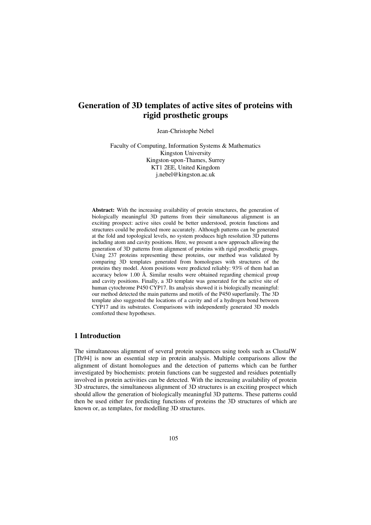# **Generation of 3D templates of active sites of proteins with rigid prosthetic groups**

Jean-Christophe Nebel

Faculty of Computing, Information Systems & Mathematics Kingston University Kingston-upon-Thames, Surrey KT1 2EE, United Kingdom j.nebel@kingston.ac.uk

**Abstract:** With the increasing availability of protein structures, the generation of biologically meaningful 3D patterns from their simultaneous alignment is an exciting prospect: active sites could be better understood, protein functions and structures could be predicted more accurately. Although patterns can be generated at the fold and topological levels, no system produces high resolution 3D patterns including atom and cavity positions. Here, we present a new approach allowing the generation of 3D patterns from alignment of proteins with rigid prosthetic groups. Using 237 proteins representing these proteins, our method was validated by comparing 3D templates generated from homologues with structures of the proteins they model. Atom positions were predicted reliably: 93% of them had an accuracy below 1.00 Å. Similar results were obtained regarding chemical group and cavity positions. Finally, a 3D template was generated for the active site of human cytochrome P450 CYP17. Its analysis showed it is biologically meaningful: our method detected the main patterns and motifs of the P450 superfamily. The 3D template also suggested the locations of a cavity and of a hydrogen bond between CYP17 and its substrates. Comparisons with independently generated 3D models comforted these hypotheses.

## **1 Introduction**

The simultaneous alignment of several protein sequences using tools such as ClustalW [Th94] is now an essential step in protein analysis. Multiple comparisons allow the alignment of distant homologues and the detection of patterns which can be further investigated by biochemists: protein functions can be suggested and residues potentially involved in protein activities can be detected. With the increasing availability of protein 3D structures, the simultaneous alignment of 3D structures is an exciting prospect which should allow the generation of biologically meaningful 3D patterns. These patterns could then be used either for predicting functions of proteins the 3D structures of which are known or, as templates, for modelling 3D structures.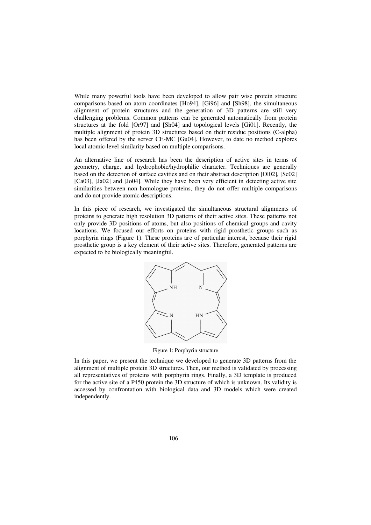While many powerful tools have been developed to allow pair wise protein structure comparisons based on atom coordinates [Ho94], [Gi96] and [Sh98], the simultaneous alignment of protein structures and the generation of 3D patterns are still very challenging problems. Common patterns can be generated automatically from protein structures at the fold [Or97] and [Sh04] and topological levels [Gi01]. Recently, the multiple alignment of protein 3D structures based on their residue positions (C-alpha) has been offered by the server CE-MC [Gu04]. However, to date no method explores local atomic-level similarity based on multiple comparisons.

An alternative line of research has been the description of active sites in terms of geometry, charge, and hydrophobic/hydrophilic character. Techniques are generally based on the detection of surface cavities and on their abstract description [Ol02], [Sc02] [Ca03], [Ja02] and [Jo04]. While they have been very efficient in detecting active site similarities between non homologue proteins, they do not offer multiple comparisons and do not provide atomic descriptions.

In this piece of research, we investigated the simultaneous structural alignments of proteins to generate high resolution 3D patterns of their active sites. These patterns not only provide 3D positions of atoms, but also positions of chemical groups and cavity locations. We focused our efforts on proteins with rigid prosthetic groups such as porphyrin rings (Figure 1). These proteins are of particular interest, because their rigid prosthetic group is a key element of their active sites. Therefore, generated patterns are expected to be biologically meaningful.



Figure 1: Porphyrin structure

In this paper, we present the technique we developed to generate 3D patterns from the alignment of multiple protein 3D structures. Then, our method is validated by processing all representatives of proteins with porphyrin rings. Finally, a 3D template is produced for the active site of a P450 protein the 3D structure of which is unknown. Its validity is accessed by confrontation with biological data and 3D models which were created independently.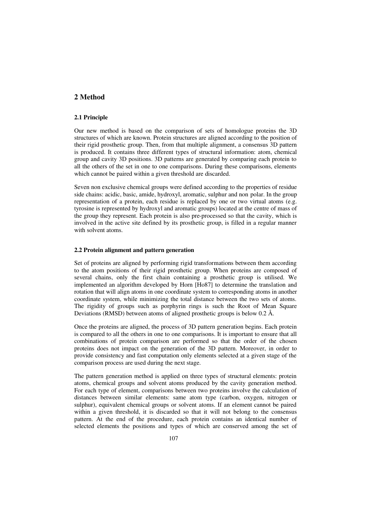## **2 Method**

### **2.1 Principle**

Our new method is based on the comparison of sets of homologue proteins the 3D structures of which are known. Protein structures are aligned according to the position of their rigid prosthetic group. Then, from that multiple alignment, a consensus 3D pattern is produced. It contains three different types of structural information: atom, chemical group and cavity 3D positions. 3D patterns are generated by comparing each protein to all the others of the set in one to one comparisons. During these comparisons, elements which cannot be paired within a given threshold are discarded.

Seven non exclusive chemical groups were defined according to the properties of residue side chains: acidic, basic, amide, hydroxyl, aromatic, sulphur and non polar. In the group representation of a protein, each residue is replaced by one or two virtual atoms (e.g. tyrosine is represented by hydroxyl and aromatic groups) located at the centre of mass of the group they represent. Each protein is also pre-processed so that the cavity, which is involved in the active site defined by its prosthetic group, is filled in a regular manner with solvent atoms.

## **2.2 Protein alignment and pattern generation**

Set of proteins are aligned by performing rigid transformations between them according to the atom positions of their rigid prosthetic group. When proteins are composed of several chains, only the first chain containing a prosthetic group is utilised. We implemented an algorithm developed by Horn [Ho87] to determine the translation and rotation that will align atoms in one coordinate system to corresponding atoms in another coordinate system, while minimizing the total distance between the two sets of atoms. The rigidity of groups such as porphyrin rings is such the Root of Mean Square Deviations (RMSD) between atoms of aligned prosthetic groups is below 0.2 Å.

Once the proteins are aligned, the process of 3D pattern generation begins. Each protein is compared to all the others in one to one comparisons. It is important to ensure that all combinations of protein comparison are performed so that the order of the chosen proteins does not impact on the generation of the 3D pattern. Moreover, in order to provide consistency and fast computation only elements selected at a given stage of the comparison process are used during the next stage.

The pattern generation method is applied on three types of structural elements: protein atoms, chemical groups and solvent atoms produced by the cavity generation method. For each type of element, comparisons between two proteins involve the calculation of distances between similar elements: same atom type (carbon, oxygen, nitrogen or sulphur), equivalent chemical groups or solvent atoms. If an element cannot be paired within a given threshold, it is discarded so that it will not belong to the consensus pattern. At the end of the procedure, each protein contains an identical number of selected elements the positions and types of which are conserved among the set of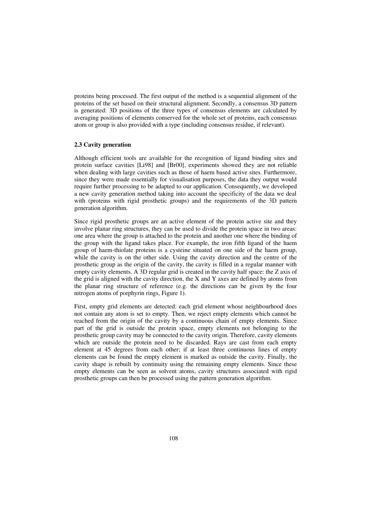proteins being processed. The first output of the method is a sequential alignment of the proteins of the set based on their structural alignment. Secondly, a consensus 3D pattern is generated: 3D positions of the three types of consensus elements are calculated by averaging positions of elements conserved for the whole set of proteins, each consensus atom or group is also provided with a type (including consensus residue, if relevant).

### **2.3 Cavity generation**

Although efficient tools are available for the recognition of ligand binding sites and protein surface cavities [Li98] and [Br00], experiments showed they are not reliable when dealing with large cavities such as those of haem based active sites. Furthermore, since they were made essentially for visualisation purposes, the data they output would require further processing to be adapted to our application. Consequently, we developed a new cavity generation method taking into account the specificity of the data we deal with (proteins with rigid prosthetic groups) and the requirements of the 3D pattern generation algorithm.

Since rigid prosthetic groups are an active element of the protein active site and they involve planar ring structures, they can be used to divide the protein space in two areas: one area where the group is attached to the protein and another one where the binding of the group with the ligand takes place. For example, the iron fifth ligand of the haem group of haem-thiolate proteins is a cysteine situated on one side of the haem group, while the cavity is on the other side. Using the cavity direction and the centre of the prosthetic group as the origin of the cavity, the cavity is filled in a regular manner with empty cavity elements. A 3D regular grid is created in the cavity half space: the Z axis of the grid is aligned with the cavity direction, the X and Y axes are defined by atoms from the planar ring structure of reference (e.g. the directions can be given by the four nitrogen atoms of porphyrin rings, Figure 1).

First, empty grid elements are detected: each grid element whose neighbourhood does not contain any atom is set to empty. Then, we reject empty elements which cannot be reached from the origin of the cavity by a continuous chain of empty elements. Since part of the grid is outside the protein space, empty elements not belonging to the prosthetic group cavity may be connected to the cavity origin. Therefore, cavity elements which are outside the protein need to be discarded. Rays are cast from each empty element at 45 degrees from each other; if at least three continuous lines of empty elements can be found the empty element is marked as outside the cavity. Finally, the cavity shape is rebuilt by continuity using the remaining empty elements. Since these empty elements can be seen as solvent atoms, cavity structures associated with rigid prosthetic groups can then be processed using the pattern generation algorithm.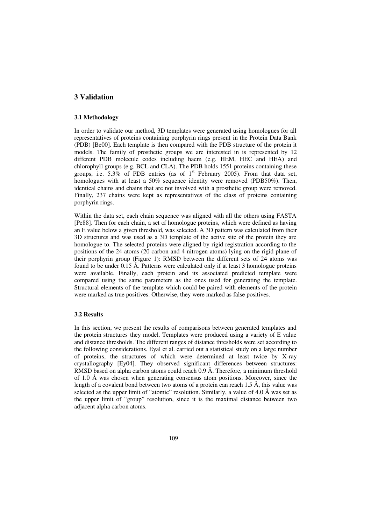## **3 Validation**

#### **3.1 Methodology**

In order to validate our method, 3D templates were generated using homologues for all representatives of proteins containing porphyrin rings present in the Protein Data Bank (PDB) [Be00]. Each template is then compared with the PDB structure of the protein it models. The family of prosthetic groups we are interested in is represented by 12 different PDB molecule codes including haem (e.g. HEM, HEC and HEA) and chlorophyll groups (e.g. BCL and CLA). The PDB holds 1551 proteins containing these groups, i.e.  $5.3\%$  of PDB entries (as of  $1<sup>st</sup>$  February 2005). From that data set, homologues with at least a 50% sequence identity were removed (PDB50%). Then, identical chains and chains that are not involved with a prosthetic group were removed. Finally, 237 chains were kept as representatives of the class of proteins containing porphyrin rings.

Within the data set, each chain sequence was aligned with all the others using FASTA [Pe88]. Then for each chain, a set of homologue proteins, which were defined as having an E value below a given threshold, was selected. A 3D pattern was calculated from their 3D structures and was used as a 3D template of the active site of the protein they are homologue to. The selected proteins were aligned by rigid registration according to the positions of the 24 atoms (20 carbon and 4 nitrogen atoms) lying on the rigid plane of their porphyrin group (Figure 1): RMSD between the different sets of 24 atoms was found to be under  $0.15 \text{ Å}$ . Patterns were calculated only if at least 3 homologue proteins were available. Finally, each protein and its associated predicted template were compared using the same parameters as the ones used for generating the template. Structural elements of the template which could be paired with elements of the protein were marked as true positives. Otherwise, they were marked as false positives.

#### **3.2 Results**

In this section, we present the results of comparisons between generated templates and the protein structures they model. Templates were produced using a variety of E value and distance thresholds. The different ranges of distance thresholds were set according to the following considerations. Eyal et al. carried out a statistical study on a large number of proteins, the structures of which were determined at least twice by X-ray crystallography [Ey04]. They observed significant differences between structures: RMSD based on alpha carbon atoms could reach 0.9 Å. Therefore, a minimum threshold of 1.0 Å was chosen when generating consensus atom positions. Moreover, since the length of a covalent bond between two atoms of a protein can reach 1.5 Å, this value was selected as the upper limit of "atomic" resolution. Similarly, a value of 4.0 Å was set as the upper limit of "group" resolution, since it is the maximal distance between two adjacent alpha carbon atoms.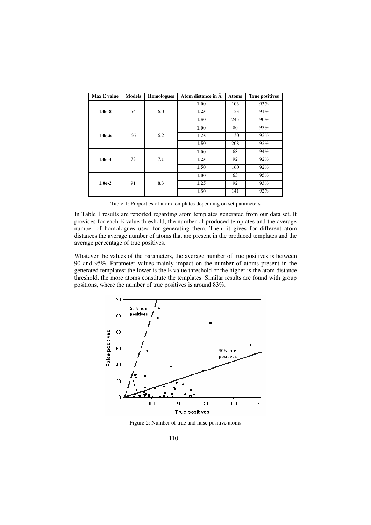| Max E value | <b>Models</b> | <b>Homologues</b> | Atom distance in A | <b>Atoms</b> | <b>True positives</b> |  |
|-------------|---------------|-------------------|--------------------|--------------|-----------------------|--|
|             |               |                   | 1.00               | 103          | 93%                   |  |
| $1.0e-8$    | 54            | 6.0               | 1.25               | 153          | 91%                   |  |
|             |               |                   | 1.50               | 245          | 90%                   |  |
|             |               |                   | 1.00               | 86           | 93%                   |  |
| $1.0e-6$    | 66            | 6.2               | 1.25               | 130          | 92%                   |  |
|             |               |                   | 1.50               | 208          | 92%                   |  |
| $1.0e-4$    |               |                   | 1.00               | 68           | 94%                   |  |
|             | 78            | 7.1               | 1.25               | 92           | 92%                   |  |
|             |               |                   | 1.50               | 160          | 92%                   |  |
| $1.0e-2$    |               |                   | 1.00               | 63           | 95%                   |  |
|             | 91            | 8.3               | 1.25               | 92           | 93%                   |  |
|             |               |                   | 1.50               | 141          | 92%                   |  |

Table 1: Properties of atom templates depending on set parameters

In Table 1 results are reported regarding atom templates generated from our data set. It provides for each E value threshold, the number of produced templates and the average number of homologues used for generating them. Then, it gives for different atom distances the average number of atoms that are present in the produced templates and the average percentage of true positives.

Whatever the values of the parameters, the average number of true positives is between 90 and 95%. Parameter values mainly impact on the number of atoms present in the generated templates: the lower is the E value threshold or the higher is the atom distance threshold, the more atoms constitute the templates. Similar results are found with group positions, where the number of true positives is around 83%.



Figure 2: Number of true and false positive atoms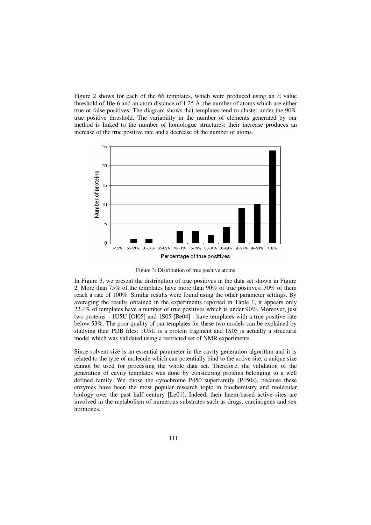Figure 2 shows for each of the 66 templates, which were produced using an E value threshold of 10e-6 and an atom distance of 1.25  $\AA$ , the number of atoms which are either true or false positives. The diagram shows that templates tend to cluster under the 90% true positive threshold. The variability in the number of elements generated by our method is linked to the number of homologue structures: their increase produces an increase of the true positive rate and a decrease of the number of atoms.



Figure 3: Distribution of true positive atoms

In Figure 3, we present the distribution of true positives in the data set shown in Figure 2. More than 75% of the templates have more than 90% of true positives; 30% of them reach a rate of 100%. Similar results were found using the other parameter settings. By averaging the results obtained in the experiments reported in Table 1, it appears only 22.4% of templates have a number of true positives which is under 90%. Moreover, just two proteins - 1U5U [Ol05] and 1S05 [Be04] - have templates with a true positive rate below 53%. The poor quality of our templates for these two models can be explained by studying their PDB files: 1U5U is a protein fragment and 1S05 is actually a structural model which was validated using a restricted set of NMR experiments.

Since solvent size is an essential parameter in the cavity generation algorithm and it is related to the type of molecule which can potentially bind to the active site, a unique size cannot be used for processing the whole data set. Therefore, the validation of the generation of cavity templates was done by considering proteins belonging to a well defined family. We chose the cytochrome P450 superfamily (P450s), because these enzymes have been the most popular research topic in biochemistry and molecular biology over the past half century [Le01]. Indeed, their haem-based active sites are involved in the metabolism of numerous substrates such as drugs, carcinogens and sex hormones.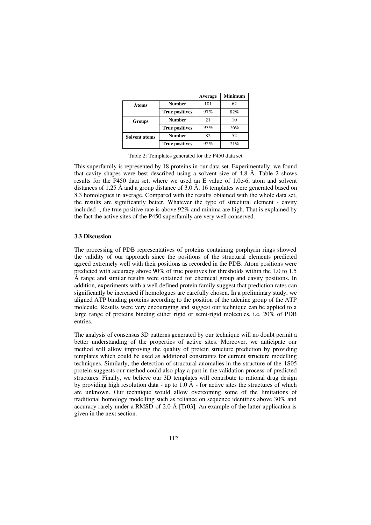|                      |                       | Average | <b>Minimum</b> |  |
|----------------------|-----------------------|---------|----------------|--|
| <b>Atoms</b>         | <b>Number</b>         | 101     | 62             |  |
|                      | <b>True positives</b> | 97%     | 82%            |  |
| <b>Groups</b>        | <b>Number</b>         | 2.1     | 10             |  |
|                      | <b>True positives</b> | 93%     | 76%            |  |
| <b>Solvent atoms</b> | <b>Number</b>         | 82      | 52             |  |
|                      | <b>True positives</b> | 92%     | 71%            |  |

Table 2: Templates generated for the P450 data set

This superfamily is represented by 18 proteins in our data set. Experimentally, we found that cavity shapes were best described using a solvent size of 4.8 Å. Table 2 shows results for the P450 data set, where we used an E value of 1.0e-6, atom and solvent distances of 1.25 Å and a group distance of 3.0 Å. 16 templates were generated based on 8.3 homologues in average. Compared with the results obtained with the whole data set, the results are significantly better. Whatever the type of structural element - cavity included -, the true positive rate is above 92% and minima are high. That is explained by the fact the active sites of the P450 superfamily are very well conserved.

## **3.3 Discussion**

The processing of PDB representatives of proteins containing porphyrin rings showed the validity of our approach since the positions of the structural elements predicted agreed extremely well with their positions as recorded in the PDB. Atom positions were predicted with accuracy above 90% of true positives for thresholds within the 1.0 to 1.5 Å range and similar results were obtained for chemical group and cavity positions. In addition, experiments with a well defined protein family suggest that prediction rates can significantly be increased if homologues are carefully chosen. In a preliminary study, we aligned ATP binding proteins according to the position of the adenine group of the ATP molecule. Results were very encouraging and suggest our technique can be applied to a large range of proteins binding either rigid or semi-rigid molecules, i.e. 20% of PDB entries.

The analysis of consensus 3D patterns generated by our technique will no doubt permit a better understanding of the properties of active sites. Moreover, we anticipate our method will allow improving the quality of protein structure prediction by providing templates which could be used as additional constraints for current structure modelling techniques. Similarly, the detection of structural anomalies in the structure of the 1S05 protein suggests our method could also play a part in the validation process of predicted structures. Finally, we believe our 3D templates will contribute to rational drug design by providing high resolution data - up to 1.0  $\AA$  - for active sites the structures of which are unknown. Our technique would allow overcoming some of the limitations of traditional homology modelling such as reliance on sequence identities above 30% and accuracy rarely under a RMSD of 2.0 Å [Tr03]. An example of the latter application is given in the next section.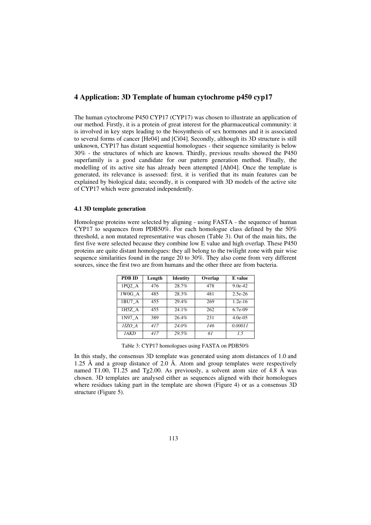## **4 Application: 3D Template of human cytochrome p450 cyp17**

The human cytochrome P450 CYP17 (CYP17) was chosen to illustrate an application of our method. Firstly, it is a protein of great interest for the pharmaceutical community: it is involved in key steps leading to the biosynthesis of sex hormones and it is associated to several forms of cancer [He04] and [Ci04]. Secondly, although its 3D structure is still unknown, CYP17 has distant sequential homologues - their sequence similarity is below 30% - the structures of which are known. Thirdly, previous results showed the P450 superfamily is a good candidate for our pattern generation method. Finally, the modelling of its active site has already been attempted [Ah04]. Once the template is generated, its relevance is assessed: first, it is verified that its main features can be explained by biological data; secondly, it is compared with 3D models of the active site of CYP17 which were generated independently.

## **4.1 3D template generation**

Homologue proteins were selected by aligning - using FASTA - the sequence of human CYP17 to sequences from PDB50%. For each homologue class defined by the  $50\%$ threshold, a non mutated representative was chosen (Table 3). Out of the main hits, the first five were selected because they combine low E value and high overlap. These P450 proteins are quite distant homologues: they all belong to the twilight zone with pair wise sequence similarities found in the range 20 to 30%. They also come from very different sources, since the first two are from humans and the other three are from bacteria.

| PDB ID      | Length | <b>Identity</b> | Overlap | E value    |
|-------------|--------|-----------------|---------|------------|
| 1PO2 A      | 476    | 28.7%           | 478     | $9.0e-42$  |
| 1W0G A      | 485    | 28.3%           | 481     | $2.5e-26$  |
| 1BU7 A      | 455    | 29.4%           | 269     | $1.2e-16$  |
| 1H5Z A      | 455    | 24.1%           | 262     | $6.7e-09$  |
| 1N97 A      | 389    | 26.4%           | 231     | $4.0e-0.5$ |
| 1IZO A      | 417    | 24.0%           | 146     | 0.00011    |
| <i>IAKD</i> | 417    | 29.5%           | 61      | 15         |

Table 3: CYP17 homologues using FASTA on PDB50%

In this study, the consensus 3D template was generated using atom distances of 1.0 and 1.25 Å and a group distance of 2.0 Å. Atom and group templates were respectively named T1.00, T1.25 and Tg2.00. As previously, a solvent atom size of 4.8 Å was chosen. 3D templates are analysed either as sequences aligned with their homologues where residues taking part in the template are shown (Figure 4) or as a consensus 3D structure (Figure 5).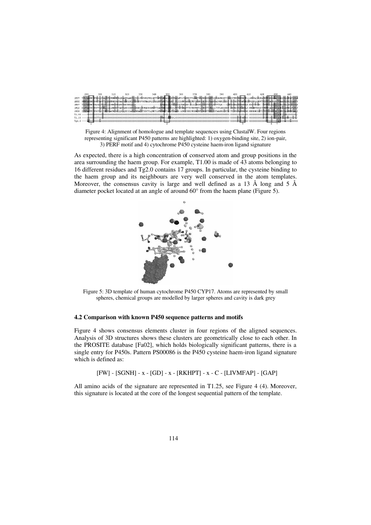|        | 290 | 300 | 310 | 320 | 330 | 340 | 350 | 360                                                                                                                                                                   | 370 | 380 | 390 | 400 | 410 |  | 440 |
|--------|-----|-----|-----|-----|-----|-----|-----|-----------------------------------------------------------------------------------------------------------------------------------------------------------------------|-----|-----|-----|-----|-----|--|-----|
| 1 BI17 |     |     |     |     |     |     |     | TFLIAGHETTSGLLSFALVFLVKNPHVLOKAAEEAARVLVDP-VFSYKOVKOLKYVGMVLDBALKLWFAFSLYAKEDTVLGGEYPLEKGDELMVLIPOLHRDKTIUGDDVEEFRDERKE---NFSAIPOHAFKHFGNGORACIGDOFALHEATLVLG         |     |     |     |     |     |  |     |
| 1H52   |     |     |     |     |     |     |     | SMMFAGHHISSGTASWTLIELMRHRDAYAAVIDELFGDGRSVSFHALROIPOLENVLKGTLELHP-PLIILMRVAKGEFEVOGHRIHEGDLVAASPAISMRIFEDP-PDPHDFVPARMEOPROEDLLNRWTWIFFGAGRHRCVGAAFAINOIKAIFS         |     |     |     |     |     |  |     |
| 1N97   |     |     |     |     |     |     |     | TLUVAGHETWASALTUSFLLLSHRPDUOKRWAESEEAALA----------------AFOEALMUYPPAWILTRRLER-PLLLGEDRLPPGTTLVLSPYVTOR---LHFPDGEAKRWEERUE-ERGTPSGR--VFHFGLGOMLCLGRDFALLEGPIVLR        |     |     |     |     |     |  |     |
|        |     |     |     |     |     |     |     | 1P02 DLFVAGTEMTTLRYGLLLLLKHREVTAKVOEEIDHVIGRHRSPCMODRSHMPYTDAVVHEIONYSDLVPTGVPHAVTTDTKFRNYLIPKGTTIMALLTSVLHDDKEF-PNPNIFODGHFLD-KNGNFKKSDYFMRFSAGKRICAGEGLARHELFLFL1   |     |     |     |     |     |  |     |
|        |     |     |     |     |     |     |     | 1WOG IFIFASYETISSVLSFINVELATHPDVQQKLQEEIDAVLPNKAPFTYDTVLQMEYLDMVVMTILMLFPIANR-LERVCKKOVEINGMFIPKGVVVMIPSYALHRDPKYW-TEPEKFLPERFSK-KWKONIDPYIVTYFYSSGPRNCIGHRFALHDMKLAL |     |     |     |     |     |  |     |
|        |     |     |     |     |     |     |     |                                                                                                                                                                       |     |     |     |     |     |  |     |
|        |     |     |     |     |     |     |     |                                                                                                                                                                       |     |     |     |     |     |  |     |
|        |     |     |     |     |     |     |     |                                                                                                                                                                       |     |     |     |     |     |  |     |

Figure 4: Alignment of homologue and template sequences using ClustalW. Four regions representing significant P450 patterns are highlighted: 1) oxygen-binding site, 2) ion-pair, 3) PERF motif and 4) cytochrome P450 cysteine haem-iron ligand signature

As expected, there is a high concentration of conserved atom and group positions in the area surrounding the haem group. For example, T1.00 is made of 43 atoms belonging to 16 different residues and Tg2.0 contains 17 groups. In particular, the cysteine binding to the haem group and its neighbours are very well conserved in the atom templates. Moreover, the consensus cavity is large and well defined as a 13  $\AA$  long and 5  $\AA$ diameter pocket located at an angle of around 60° from the haem plane (Figure 5).



Figure 5: 3D template of human cytochrome P450 CYP17. Atoms are represented by small spheres, chemical groups are modelled by larger spheres and cavity is dark grey

## **4.2 Comparison with known P450 sequence patterns and motifs**

Figure 4 shows consensus elements cluster in four regions of the aligned sequences. Analysis of 3D structures shows these clusters are geometrically close to each other. In the PROSITE database [Fa02], which holds biologically significant patterns, there is a single entry for P450s. Pattern PS00086 is the P450 cysteine haem-iron ligand signature which is defined as:

[FW] - [SGNH] - x - [GD] -x-[RKHPT] - x -C-[LIVMFAP] - [GAP]

All amino acids of the signature are represented in T1.25, see Figure 4 (4). Moreover, this signature is located at the core of the longest sequential pattern of the template.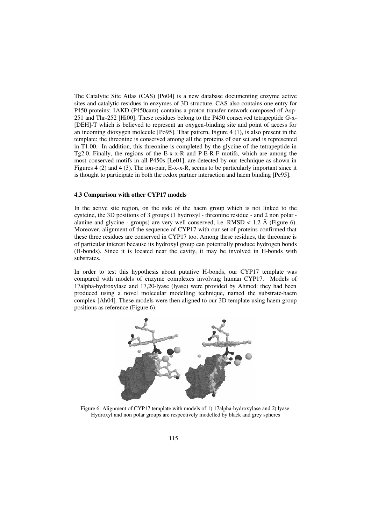The Catalytic Site Atlas (CAS) [Po04] is a new database documenting enzyme active sites and catalytic residues in enzymes of 3D structure. CAS also contains one entry for P450 proteins: 1AKD (P450cam) contains a proton transfer network composed of Asp-251 and Thr-252 [Hi00]. These residues belong to the P450 conserved tetrapeptide G-x- [DEH]-T which is believed to represent an oxygen-binding site and point of access for an incoming dioxygen molecule [Po95]. That pattern, Figure 4 (1), is also present in the template: the threonine is conserved among all the proteins of our set and is represented in T1.00. In addition, this threonine is completed by the glycine of the tetrapeptide in Tg2.0. Finally, the regions of the E-x-x-R and P-E-R-F motifs, which are among the most conserved motifs in all P450s [Le01], are detected by our technique as shown in Figures 4 (2) and 4 (3). The ion-pair, E-x-x-R, seems to be particularly important since it is thought to participate in both the redox partner interaction and haem binding [Pe95].

### **4.3 Comparison with other CYP17 models**

In the active site region, on the side of the haem group which is not linked to the cysteine, the 3D positions of 3 groups (1 hydroxyl - threonine residue - and 2 non polar alanine and glycine - groups) are very well conserved, i.e.  $RMSD < 1.2$  Å (Figure 6). Moreover, alignment of the sequence of CYP17 with our set of proteins confirmed that these three residues are conserved in CYP17 too. Among these residues, the threonine is of particular interest because its hydroxyl group can potentially produce hydrogen bonds (H-bonds). Since it is located near the cavity, it may be involved in H-bonds with substrates.

In order to test this hypothesis about putative H-bonds, our CYP17 template was compared with models of enzyme complexes involving human CYP17. Models of 17alpha-hydroxylase and 17,20-lyase (lyase) were provided by Ahmed: they had been produced using a novel molecular modelling technique, named the substrate-haem complex [Ah04]. These models were then aligned to our 3D template using haem group positions as reference (Figure 6).



Figure 6: Alignment of CYP17 template with models of 1) 17alpha-hydroxylase and 2) lyase. Hydroxyl and non polar groups are respectively modelled by black and grey spheres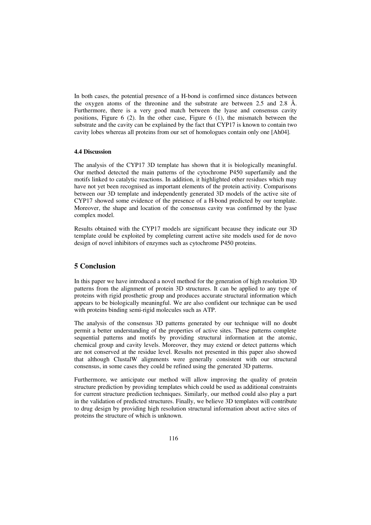In both cases, the potential presence of a H-bond is confirmed since distances between the oxygen atoms of the threonine and the substrate are between 2.5 and 2.8 Å. Furthermore, there is a very good match between the lyase and consensus cavity positions, Figure  $6$  (2). In the other case, Figure  $6$  (1), the mismatch between the substrate and the cavity can be explained by the fact that CYP17 is known to contain two cavity lobes whereas all proteins from our set of homologues contain only one [Ah04].

#### **4.4 Discussion**

The analysis of the CYP17 3D template has shown that it is biologically meaningful. Our method detected the main patterns of the cytochrome P450 superfamily and the motifs linked to catalytic reactions. In addition, it highlighted other residues which may have not yet been recognised as important elements of the protein activity. Comparisons between our 3D template and independently generated 3D models of the active site of CYP17 showed some evidence of the presence of a H-bond predicted by our template. Moreover, the shape and location of the consensus cavity was confirmed by the lyase complex model.

Results obtained with the CYP17 models are significant because they indicate our 3D template could be exploited by completing current active site models used for de novo design of novel inhibitors of enzymes such as cytochrome P450 proteins.

## **5 Conclusion**

In this paper we have introduced a novel method for the generation of high resolution 3D patterns from the alignment of protein 3D structures. It can be applied to any type of proteins with rigid prosthetic group and produces accurate structural information which appears to be biologically meaningful. We are also confident our technique can be used with proteins binding semi-rigid molecules such as ATP.

The analysis of the consensus 3D patterns generated by our technique will no doubt permit a better understanding of the properties of active sites. These patterns complete sequential patterns and motifs by providing structural information at the atomic, chemical group and cavity levels. Moreover, they may extend or detect patterns which are not conserved at the residue level. Results not presented in this paper also showed that although ClustalW alignments were generally consistent with our structural consensus, in some cases they could be refined using the generated 3D patterns.

Furthermore, we anticipate our method will allow improving the quality of protein structure prediction by providing templates which could be used as additional constraints for current structure prediction techniques. Similarly, our method could also play a part in the validation of predicted structures. Finally, we believe 3D templates will contribute to drug design by providing high resolution structural information about active sites of proteins the structure of which is unknown.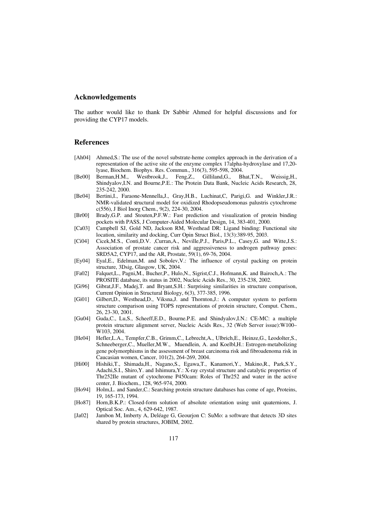## **Acknowledgements**

The author would like to thank Dr Sabbir Ahmed for helpful discussions and for providing the CYP17 models.

## **References**

- [Ah04] Ahmed,S.: The use of the novel substrate-heme complex approach in the derivation of a representation of the active site of the enzyme complex 17alpha-hydroxylase and 17,20 lyase, Biochem. Biophys. Res. Commun., 316(3), 595-598, 2004.
- [Be00] Berman,H.M., Westbrook,J., Feng,Z., Gilliland,G., Bhat,T.N., Weissig,H., Shindyalov,I.N. and Bourne,P.E.: The Protein Data Bank, Nucleic Acids Research, 28, 235-242, 2000.
- [Be04] Bertini,I., Faraone-Mennella,J., Gray,H.B., Luchinat,C, Parigi,G. and Winkler,J.R.: NMR-validated structural model for oxidized Rhodopseudomonas palustris cytochrome c(556), J Biol Inorg Chem., 9(2), 224-30, 2004.
- [Br00] Brady,G.P. and Stouten,P.F.W.: Fast prediction and visualization of protein binding pockets with PASS, J Computer-Aided Molecular Design, 14, 383-401, 2000.
- [Ca03] Campbell SJ, Gold ND, Jackson RM, Westhead DR: Ligand binding: Functional site location, similarity and docking, Curr Opin Struct Biol., 13(3):389-95, 2003.
- [Ci04] Cicek,M.S., Conti,D.V. ,Curran,A., Neville,P.J., Paris,P.L., Casey,G. and Witte,J.S.: Association of prostate cancer risk and aggressiveness to androgen pathway genes: SRD5A2, CYP17, and the AR, Prostate, 59(1), 69-76, 2004.
- [Ey04] Eyal,E., Edelman,M. and Sobolev,V.: The influence of crystal packing on protein structure, 3Dsig, Glasgow, UK, 2004.
- [Fa02] Falquet,L., Pagni,M., Bucher,P., Hulo,N., Sigrist,C.J., Hofmann,K. and Bairoch,A.: The PROSITE database, its status in 2002, Nucleic Acids Res., 30, 235-238, 2002.
- [Gi96] Gibrat,J.F., Madej,T. and Bryant,S.H.: Surprising similarities in structure comparison, Current Opinion in Structural Biology, 6(3), 377-385, 1996.
- [Gi01] Gilbert,D., Westhead,D., Viksna,J. and Thornton,J.: A computer system to perform structure comparison using TOPS representations of protein structure, Comput. Chem., 26, 23-30, 2001.
- [Gu04] Guda,C., Lu,S., Scheeff,E.D., Bourne.P.E. and Shindyalov,I.N.: CE-MC: a multiple protein structure alignment server, Nucleic Acids Res., 32 (Web Server issue):W100– W<sub>103</sub>, 2004.
- [He04] Hefler,L.A., Tempfer,C.B., Grimm,C., Lebrecht,A., Ulbrich,E., Heinze,G., Leodolter,S., Schneeberger,C., Mueller,M.W., Muendlein, A. and Koelbl,H.: Estrogen-metabolizing gene polymorphisms in the assessment of breast carcinoma risk and fibroadenoma risk in Caucasian women, Cancer, 101(2), 264-269, 2004.
- [Hi00] Hishiki,T., Shimada,H., Nagano,S., Egawa,T., Kanamori,Y., Makino,R., Park,S.Y., Adachi,S.I., Shiro,Y. and Ishimura,Y.: X-ray crystal structure and catalytic properties of Thr252Ile mutant of cytochrome P450cam: Roles of Thr252 and water in the active center, J. Biochem., 128, 965-974, 2000.
- [Ho94] Holm,L. and Sander,C.: Searching protein structure databases has come of age, Proteins, 19, 165-173, 1994.
- [Ho87] Horn,B.K.P.: Closed-form solution of absolute orientation using unit quaternions, J. Optical Soc. Am., 4, 629-642, 1987.
- [Ja02] Jambon M, Imberty A, Deléage G, Geourjon C: SuMo: a software that detects 3D sites shared by protein structures, JOBIM, 2002.